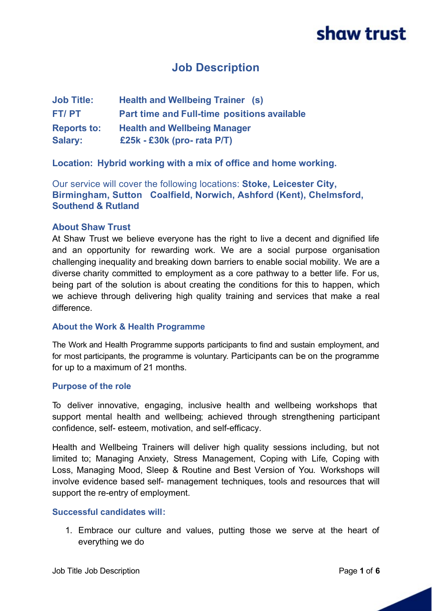# **Job Description**

| <b>Job Title:</b>  | <b>Health and Wellbeing Trainer (s)</b>     |
|--------------------|---------------------------------------------|
| FT/PT              | Part time and Full-time positions available |
| <b>Reports to:</b> | <b>Health and Wellbeing Manager</b>         |
| <b>Salary:</b>     | £25 $k - E30k$ (pro-rata P/T)               |

**Location: Hybrid working with a mix of office and home working.**

Our service will cover the following locations: **Stoke, Leicester City, Birmingham, Sutton Coalfield, Norwich, Ashford (Kent), Chelmsford, Southend & Rutland**

### **About Shaw Trust**

At Shaw Trust we believe everyone has the right to live a decent and dignified life and an opportunity for rewarding work. We are a social purpose organisation challenging inequality and breaking down barriers to enable social mobility. We are a diverse charity committed to employment as a core pathway to a better life. For us, being part of the solution is about creating the conditions for this to happen, which we achieve through delivering high quality training and services that make a real difference.

#### **About the Work & Health Programme**

The Work and Health Programme supports participants to find and sustain employment, and for most participants, the programme is voluntary. Participants can be on the programme for up to a maximum of 21 months.

#### **Purpose of the role**

To deliver innovative, engaging, inclusive health and wellbeing workshops that support mental health and wellbeing; achieved through strengthening participant confidence, self- esteem, motivation, and self-efficacy.

Health and Wellbeing Trainers will deliver high quality sessions including, but not limited to; Managing Anxiety, Stress Management, Coping with Life, Coping with Loss, Managing Mood, Sleep & Routine and Best Version of You. Workshops will involve evidence based self- management techniques, tools and resources that will support the re-entry of employment.

#### **Successful candidates will:**

1. Embrace our culture and values, putting those we serve at the heart of everything we do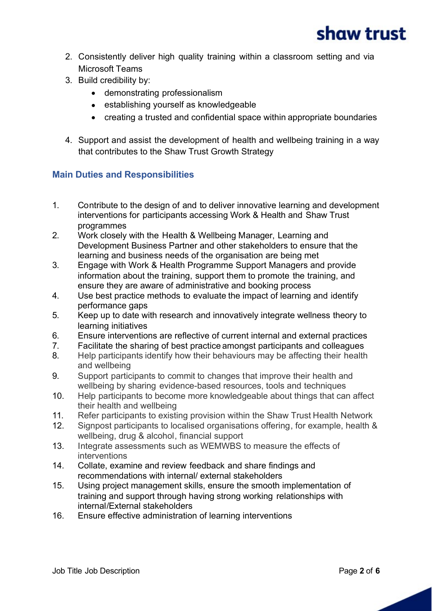- 2. Consistently deliver high quality training within a classroom setting and via Microsoft Teams
- 3. Build credibility by:
	- · demonstrating professionalism
	- · establishing yourself as knowledgeable
	- · creating a trusted and confidential space within appropriate boundaries
- 4. Support and assist the development of health and wellbeing training in a way that contributes to the Shaw Trust Growth Strategy

# **Main Duties and Responsibilities**

- 1. Contribute to the design of and to deliver innovative learning and development interventions for participants accessing Work & Health and Shaw Trust programmes
- 2. Work closely with the Health & Wellbeing Manager, Learning and Development Business Partner and other stakeholders to ensure that the learning and business needs of the organisation are being met
- 3. Engage with Work & Health Programme Support Managers and provide information about the training, support them to promote the training, and ensure they are aware of administrative and booking process
- 4. Use best practice methods to evaluate the impact of learning and identify performance gaps
- 5. Keep up to date with research and innovatively integrate wellness theory to learning initiatives
- 6. Ensure interventions are reflective of current internal and external practices
- 7. Facilitate the sharing of best practice amongst participants and colleagues
- 8. Help participants identify how their behaviours may be affecting their health and wellbeing
- 9. Support participants to commit to changes that improve their health and wellbeing by sharing evidence-based resources, tools and techniques
- 10. Help participants to become more knowledgeable about things that can affect their health and wellbeing
- 11. Refer participants to existing provision within the Shaw Trust Health Network
- 12. Signpost participants to localised organisations offering, for example, health & wellbeing, drug & alcohol, financial support
- 13. Integrate assessments such as WEMWBS to measure the effects of interventions
- 14. Collate, examine and review feedback and share findings and recommendations with internal/ external stakeholders
- 15. Using project management skills, ensure the smooth implementation of training and support through having strong working relationships with internal/External stakeholders
- 16. Ensure effective administration of learning interventions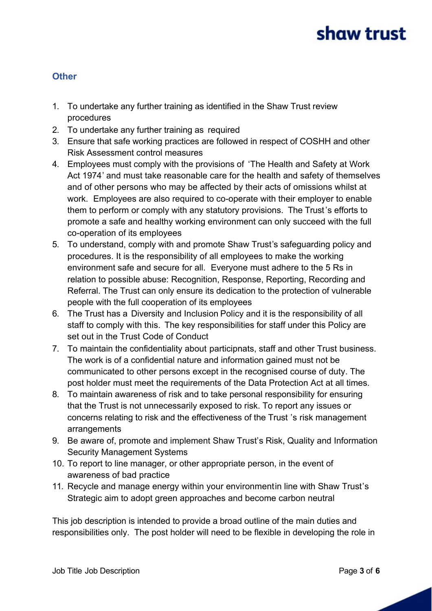# **Other**

- 1. To undertake any further training as identified in the Shaw Trust review procedures
- 2. To undertake any further training as required
- 3. Ensure that safe working practices are followed in respect of COSHH and other Risk Assessment control measures
- 4. Employees must comply with the provisions of 'The Health and Safety at Work Act 1974' and must take reasonable care for the health and safety of themselves and of other persons who may be affected by their acts of omissions whilst at work. Employees are also required to co-operate with their employer to enable them to perform or comply with any statutory provisions. The Trust's efforts to promote a safe and healthy working environment can only succeed with the full co-operation of its employees
- 5. To understand, comply with and promote Shaw Trust's safeguarding policy and procedures. It is the responsibility of all employees to make the working environment safe and secure for all. Everyone must adhere to the 5 Rs in relation to possible abuse: Recognition, Response, Reporting, Recording and Referral. The Trust can only ensure its dedication to the protection of vulnerable people with the full cooperation of its employees
- 6. The Trust has a Diversity and Inclusion Policy and it is the responsibility of all staff to comply with this. The key responsibilities for staff under this Policy are set out in the Trust Code of Conduct
- 7. To maintain the confidentiality about participnats, staff and other Trust business. The work is of a confidential nature and information gained must not be communicated to other persons except in the recognised course of duty. The post holder must meet the requirements of the Data Protection Act at all times.
- 8. To maintain awareness of risk and to take personal responsibility for ensuring that the Trust is not unnecessarily exposed to risk. To report any issues or concerns relating to risk and the effectiveness of the Trust 's risk management arrangements
- 9. Be aware of, promote and implement Shaw Trust's Risk, Quality and Information Security Management Systems
- 10. To report to line manager, or other appropriate person, in the event of awareness of bad practice
- 11. Recycle and manage energy within your environmentin line with Shaw Trust's Strategic aim to adopt green approaches and become carbon neutral

This job description is intended to provide a broad outline of the main duties and responsibilities only. The post holder will need to be flexible in developing the role in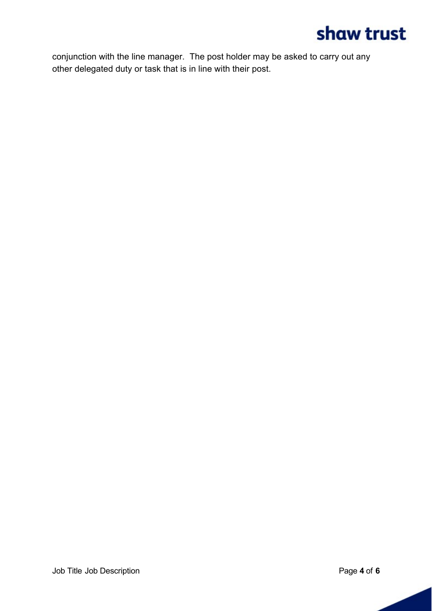conjunction with the line manager. The post holder may be asked to carry out any other delegated duty or task that is in line with their post.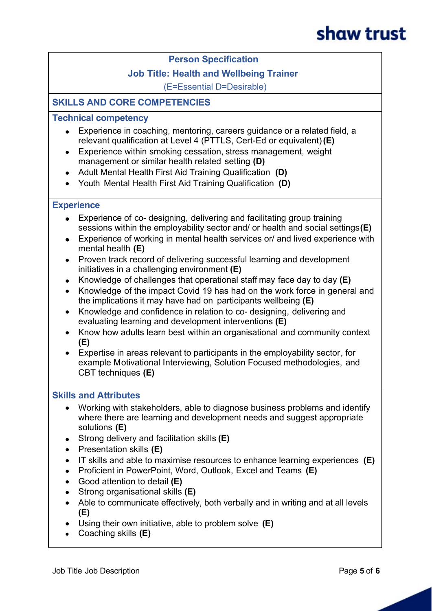### **Person Specification**

# **Job Title: Health and Wellbeing Trainer**

(E=Essential D=Desirable)

# **SKILLS AND CORE COMPETENCIES**

### **Technical competency**

- · Experience in coaching, mentoring, careers guidance or a related field, a relevant qualification at Level 4 (PTTLS, Cert-Ed or equivalent) **(E)**
- Experience within smoking cessation, stress management, weight management or similar health related setting **(D)**
- · Adult Mental Health First Aid Training Qualification **(D)**
- · Youth Mental Health First Aid Training Qualification **(D)**

#### **Experience**

- Experience of co- designing, delivering and facilitating group training sessions within the employability sector and/ or health and social settings**(E)**
- Experience of working in mental health services or/ and lived experience with mental health **(E)**
- · Proven track record of delivering successful learning and development initiatives in a challenging environment **(E)**
- · Knowledge of challenges that operational staff may face day to day **(E)**
- Knowledge of the impact Covid 19 has had on the work force in general and the implications it may have had on participants wellbeing **(E)**
- · Knowledge and confidence in relation to co- designing, delivering and evaluating learning and development interventions **(E)**
- · Know how adults learn best within an organisational and community context **(E)**
- Expertise in areas relevant to participants in the employability sector, for example Motivational Interviewing, Solution Focused methodologies, and CBT techniques **(E)**

#### **Skills and Attributes**

- · Working with stakeholders, able to diagnose business problems and identify where there are learning and development needs and suggest appropriate solutions **(E)**
- · Strong delivery and facilitation skills **(E)**
- · Presentation skills **(E)**
- · IT skills and able to maximise resources to enhance learning experiences **(E)**
- · Proficient in PowerPoint, Word, Outlook, Excel and Teams **(E)**
- · Good attention to detail **(E)**
- · Strong organisational skills **(E)**
- Able to communicate effectively, both verbally and in writing and at all levels **(E)**
- · Using their own initiative, able to problem solve **(E)**
- · Coaching skills **(E)**